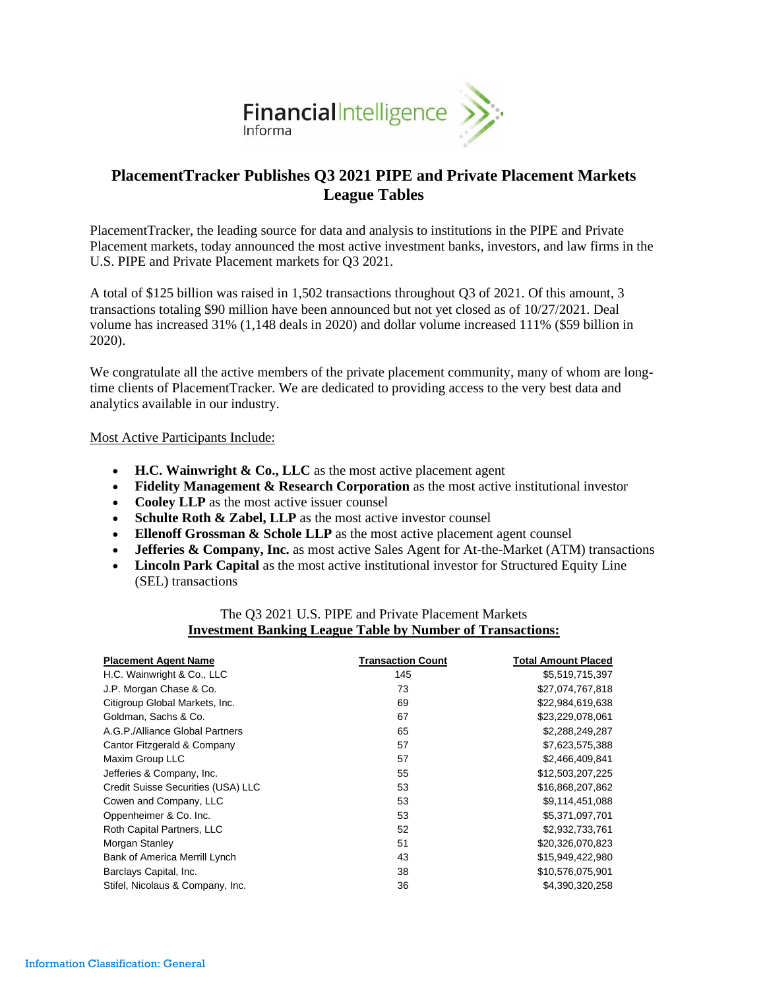

# **PlacementTracker Publishes Q3 2021 PIPE and Private Placement Markets League Tables**

PlacementTracker, the leading source for data and analysis to institutions in the PIPE and Private Placement markets, today announced the most active investment banks, investors, and law firms in the U.S. PIPE and Private Placement markets for Q3 2021.

A total of \$125 billion was raised in 1,502 transactions throughout Q3 of 2021. Of this amount, 3 transactions totaling \$90 million have been announced but not yet closed as of 10/27/2021. Deal volume has increased 31% (1,148 deals in 2020) and dollar volume increased 111% (\$59 billion in 2020).

We congratulate all the active members of the private placement community, many of whom are longtime clients of PlacementTracker. We are dedicated to providing access to the very best data and analytics available in our industry.

## Most Active Participants Include:

- **H.C. Wainwright & Co., LLC** as the most active placement agent
- **Fidelity Management & Research Corporation** as the most active institutional investor
- **Cooley LLP** as the most active issuer counsel
- **Schulte Roth & Zabel, LLP** as the most active investor counsel
- **Ellenoff Grossman & Schole LLP** as the most active placement agent counsel
- **Jefferies & Company, Inc.** as most active Sales Agent for At-the-Market (ATM) transactions
- **Lincoln Park Capital** as the most active institutional investor for Structured Equity Line (SEL) transactions

## The Q3 2021 U.S. PIPE and Private Placement Markets **Investment Banking League Table by Number of Transactions:**

| <b>Placement Agent Name</b>        | <b>Transaction Count</b> | <b>Total Amount Placed</b> |
|------------------------------------|--------------------------|----------------------------|
| H.C. Wainwright & Co., LLC         | 145                      | \$5,519,715,397            |
| J.P. Morgan Chase & Co.            | 73                       | \$27,074,767,818           |
| Citigroup Global Markets, Inc.     | 69                       | \$22,984,619,638           |
| Goldman, Sachs & Co.               | 67                       | \$23,229,078,061           |
| A.G.P./Alliance Global Partners    | 65                       | \$2,288,249,287            |
| Cantor Fitzgerald & Company        | 57                       | \$7,623,575,388            |
| Maxim Group LLC                    | 57                       | \$2,466,409,841            |
| Jefferies & Company, Inc.          | 55                       | \$12,503,207,225           |
| Credit Suisse Securities (USA) LLC | 53                       | \$16,868,207,862           |
| Cowen and Company, LLC             | 53                       | \$9,114,451,088            |
| Oppenheimer & Co. Inc.             | 53                       | \$5,371,097,701            |
| Roth Capital Partners, LLC         | 52                       | \$2,932,733,761            |
| Morgan Stanley                     | 51                       | \$20,326,070,823           |
| Bank of America Merrill Lynch      | 43                       | \$15,949,422,980           |
| Barclays Capital, Inc.             | 38                       | \$10,576,075,901           |
| Stifel, Nicolaus & Company, Inc.   | 36                       | \$4,390,320,258            |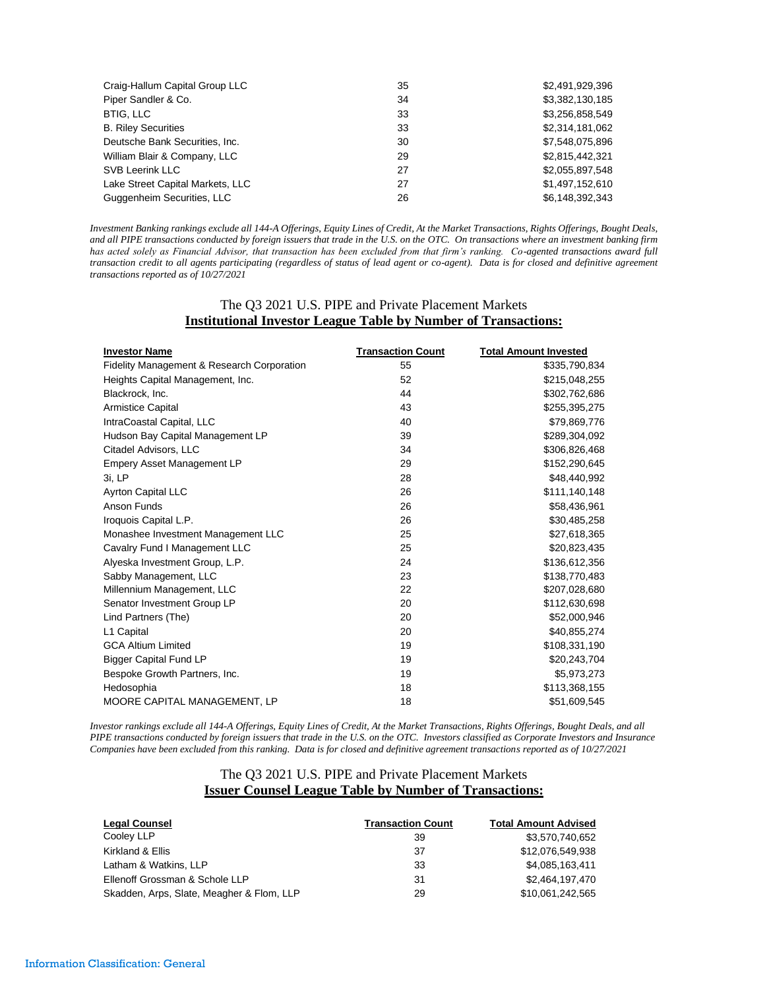| Craig-Hallum Capital Group LLC   | 35 | \$2,491,929,396 |
|----------------------------------|----|-----------------|
| Piper Sandler & Co.              | 34 | \$3,382,130,185 |
| <b>BTIG, LLC</b>                 | 33 | \$3,256,858,549 |
| <b>B. Riley Securities</b>       | 33 | \$2,314,181,062 |
| Deutsche Bank Securities, Inc.   | 30 | \$7,548,075,896 |
| William Blair & Company, LLC     | 29 | \$2,815,442,321 |
| <b>SVB Leerink LLC</b>           | 27 | \$2,055,897,548 |
| Lake Street Capital Markets, LLC | 27 | \$1,497,152,610 |
| Guggenheim Securities, LLC       | 26 | \$6,148,392,343 |

*Investment Banking rankings exclude all 144-A Offerings, Equity Lines of Credit, At the Market Transactions, Rights Offerings, Bought Deals, and all PIPE transactions conducted by foreign issuers that trade in the U.S. on the OTC. On transactions where an investment banking firm has acted solely as Financial Advisor, that transaction has been excluded from that firm's ranking. Co-agented transactions award full transaction credit to all agents participating (regardless of status of lead agent or co-agent). Data is for closed and definitive agreement transactions reported as of 10/27/2021*

## The Q3 2021 U.S. PIPE and Private Placement Markets **Institutional Investor League Table by Number of Transactions:**

| <b>Investor Name</b>                                  | <b>Transaction Count</b> | <b>Total Amount Invested</b> |
|-------------------------------------------------------|--------------------------|------------------------------|
| <b>Fidelity Management &amp; Research Corporation</b> | 55                       | \$335,790,834                |
| Heights Capital Management, Inc.                      | 52                       | \$215,048,255                |
| Blackrock, Inc.                                       | 44                       | \$302,762,686                |
| <b>Armistice Capital</b>                              | 43                       | \$255,395,275                |
| IntraCoastal Capital, LLC                             | 40                       | \$79,869,776                 |
| Hudson Bay Capital Management LP                      | 39                       | \$289,304,092                |
| Citadel Advisors, LLC                                 | 34                       | \$306,826,468                |
| <b>Empery Asset Management LP</b>                     | 29                       | \$152,290,645                |
| 3i, LP                                                | 28                       | \$48,440,992                 |
| <b>Ayrton Capital LLC</b>                             | 26                       | \$111,140,148                |
| Anson Funds                                           | 26                       | \$58,436,961                 |
| Iroquois Capital L.P.                                 | 26                       | \$30,485,258                 |
| Monashee Investment Management LLC                    | 25                       | \$27,618,365                 |
| Cavalry Fund I Management LLC                         | 25                       | \$20,823,435                 |
| Alyeska Investment Group, L.P.                        | 24                       | \$136,612,356                |
| Sabby Management, LLC                                 | 23                       | \$138,770,483                |
| Millennium Management, LLC                            | 22                       | \$207,028,680                |
| Senator Investment Group LP                           | 20                       | \$112,630,698                |
| Lind Partners (The)                                   | 20                       | \$52,000,946                 |
| L1 Capital                                            | 20                       | \$40,855,274                 |
| <b>GCA Altium Limited</b>                             | 19                       | \$108,331,190                |
| <b>Bigger Capital Fund LP</b>                         | 19                       | \$20,243,704                 |
| Bespoke Growth Partners, Inc.                         | 19                       | \$5,973,273                  |
| Hedosophia                                            | 18                       | \$113,368,155                |
| MOORE CAPITAL MANAGEMENT, LP                          | 18                       | \$51,609,545                 |

*Investor rankings exclude all 144-A Offerings, Equity Lines of Credit, At the Market Transactions, Rights Offerings, Bought Deals, and all PIPE transactions conducted by foreign issuers that trade in the U.S. on the OTC. Investors classified as Corporate Investors and Insurance Companies have been excluded from this ranking. Data is for closed and definitive agreement transactions reported as of 10/27/2021*

#### The Q3 2021 U.S. PIPE and Private Placement Markets **Issuer Counsel League Table by Number of Transactions:**

| <b>Legal Counsel</b>                      | <b>Transaction Count</b> | <b>Total Amount Advised</b> |
|-------------------------------------------|--------------------------|-----------------------------|
| Cooley LLP                                | 39                       | \$3,570,740,652             |
| Kirkland & Ellis                          | 37                       | \$12,076,549,938            |
| Latham & Watkins, LLP                     | 33                       | \$4,085,163,411             |
| Ellenoff Grossman & Schole LLP            | 31                       | \$2.464.197.470             |
| Skadden, Arps, Slate, Meagher & Flom, LLP | 29                       | \$10,061,242,565            |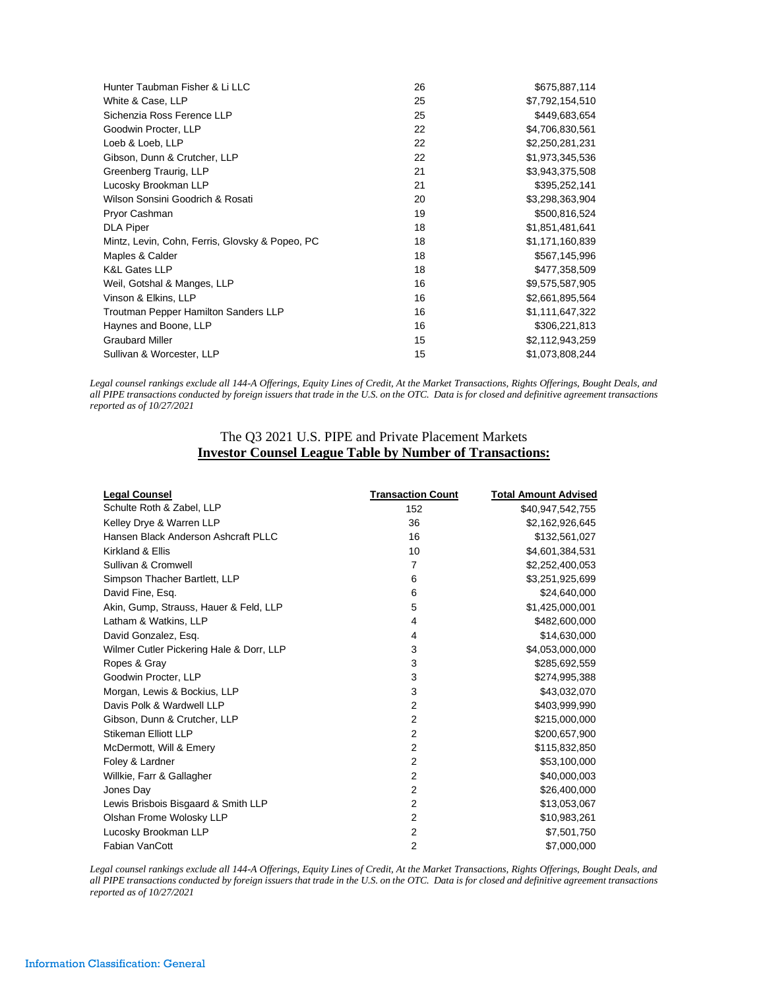| Hunter Taubman Fisher & Li LLC                  | 26 | \$675,887,114   |
|-------------------------------------------------|----|-----------------|
| White & Case, LLP                               | 25 | \$7,792,154,510 |
| Sichenzia Ross Ference LLP                      | 25 | \$449,683,654   |
| Goodwin Procter, LLP                            | 22 | \$4,706,830,561 |
| Loeb & Loeb, LLP                                | 22 | \$2,250,281,231 |
| Gibson, Dunn & Crutcher, LLP                    | 22 | \$1,973,345,536 |
| Greenberg Traurig, LLP                          | 21 | \$3,943,375,508 |
| Lucosky Brookman LLP                            | 21 | \$395,252,141   |
| Wilson Sonsini Goodrich & Rosati                | 20 | \$3,298,363,904 |
| Pryor Cashman                                   | 19 | \$500,816,524   |
| <b>DLA Piper</b>                                | 18 | \$1,851,481,641 |
| Mintz, Levin, Cohn, Ferris, Glovsky & Popeo, PC | 18 | \$1,171,160,839 |
| Maples & Calder                                 | 18 | \$567,145,996   |
| <b>K&amp;L Gates LLP</b>                        | 18 | \$477,358,509   |
| Weil, Gotshal & Manges, LLP                     | 16 | \$9,575,587,905 |
| Vinson & Elkins, LLP                            | 16 | \$2,661,895,564 |
| <b>Troutman Pepper Hamilton Sanders LLP</b>     | 16 | \$1,111,647,322 |
| Haynes and Boone, LLP                           | 16 | \$306,221,813   |
| <b>Graubard Miller</b>                          | 15 | \$2,112,943,259 |
| Sullivan & Worcester, LLP                       | 15 | \$1,073,808,244 |

*Legal counsel rankings exclude all 144-A Offerings, Equity Lines of Credit, At the Market Transactions, Rights Offerings, Bought Deals, and all PIPE transactions conducted by foreign issuers that trade in the U.S. on the OTC. Data is for closed and definitive agreement transactions reported as of 10/27/2021*

## The Q3 2021 U.S. PIPE and Private Placement Markets **Investor Counsel League Table by Number of Transactions:**

| <b>Legal Counsel</b>                     | <b>Transaction Count</b> | <b>Total Amount Advised</b> |
|------------------------------------------|--------------------------|-----------------------------|
| Schulte Roth & Zabel, LLP                | 152                      | \$40,947,542,755            |
| Kelley Drye & Warren LLP                 | 36                       | \$2,162,926,645             |
| Hansen Black Anderson Ashcraft PLLC      | 16                       | \$132,561,027               |
| Kirkland & Ellis                         | 10                       | \$4,601,384,531             |
| Sullivan & Cromwell                      | 7                        | \$2,252,400,053             |
| Simpson Thacher Bartlett, LLP            | 6                        | \$3,251,925,699             |
| David Fine, Esg.                         | 6                        | \$24,640,000                |
| Akin, Gump, Strauss, Hauer & Feld, LLP   | 5                        | \$1,425,000,001             |
| Latham & Watkins, LLP                    | 4                        | \$482,600,000               |
| David Gonzalez, Esg.                     | 4                        | \$14,630,000                |
| Wilmer Cutler Pickering Hale & Dorr, LLP | 3                        | \$4,053,000,000             |
| Ropes & Gray                             | 3                        | \$285,692,559               |
| Goodwin Procter, LLP                     | 3                        | \$274,995,388               |
| Morgan, Lewis & Bockius, LLP             | 3                        | \$43,032,070                |
| Davis Polk & Wardwell LLP                | 2                        | \$403,999,990               |
| Gibson, Dunn & Crutcher, LLP             | $\overline{2}$           | \$215,000,000               |
| Stikeman Elliott LLP                     | 2                        | \$200,657,900               |
| McDermott, Will & Emery                  | $\overline{2}$           | \$115,832,850               |
| Foley & Lardner                          | $\overline{2}$           | \$53,100,000                |
| Willkie, Farr & Gallagher                | $\overline{2}$           | \$40,000,003                |
| Jones Day                                | $\overline{2}$           | \$26,400,000                |
| Lewis Brisbois Bisgaard & Smith LLP      | 2                        | \$13,053,067                |
| Olshan Frome Wolosky LLP                 | $\overline{2}$           | \$10,983,261                |
| Lucosky Brookman LLP                     | $\overline{2}$           | \$7,501,750                 |
| Fabian VanCott                           | 2                        | \$7,000,000                 |

*Legal counsel rankings exclude all 144-A Offerings, Equity Lines of Credit, At the Market Transactions, Rights Offerings, Bought Deals, and all PIPE transactions conducted by foreign issuers that trade in the U.S. on the OTC. Data is for closed and definitive agreement transactions reported as of 10/27/2021*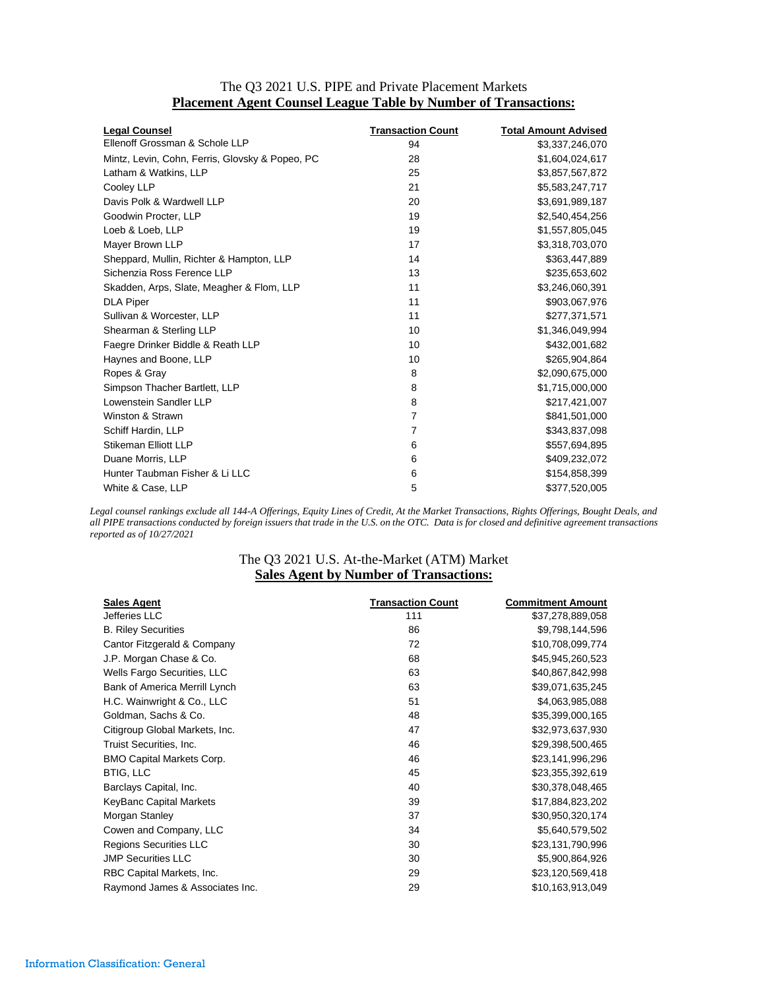|  | The Q3 2021 U.S. PIPE and Private Placement Markets                    |  |  |
|--|------------------------------------------------------------------------|--|--|
|  | <b>Placement Agent Counsel League Table by Number of Transactions:</b> |  |  |

| <b>Legal Counsel</b>                            | <b>Transaction Count</b> | <b>Total Amount Advised</b> |
|-------------------------------------------------|--------------------------|-----------------------------|
| Ellenoff Grossman & Schole LLP                  | 94                       | \$3,337,246,070             |
| Mintz, Levin, Cohn, Ferris, Glovsky & Popeo, PC | 28                       | \$1,604,024,617             |
| Latham & Watkins, LLP                           | 25                       | \$3,857,567,872             |
| Cooley LLP                                      | 21                       | \$5,583,247,717             |
| Davis Polk & Wardwell LLP                       | 20                       | \$3,691,989,187             |
| Goodwin Procter, LLP                            | 19                       | \$2,540,454,256             |
| Loeb & Loeb, LLP                                | 19                       | \$1,557,805,045             |
| Mayer Brown LLP                                 | 17                       | \$3,318,703,070             |
| Sheppard, Mullin, Richter & Hampton, LLP        | 14                       | \$363,447,889               |
| Sichenzia Ross Ference LLP                      | 13                       | \$235,653,602               |
| Skadden, Arps, Slate, Meagher & Flom, LLP       | 11                       | \$3,246,060,391             |
| <b>DLA Piper</b>                                | 11                       | \$903,067,976               |
| Sullivan & Worcester, LLP                       | 11                       | \$277,371,571               |
| Shearman & Sterling LLP                         | 10                       | \$1,346,049,994             |
| Faegre Drinker Biddle & Reath LLP               | 10                       | \$432,001,682               |
| Haynes and Boone, LLP                           | 10                       | \$265,904,864               |
| Ropes & Gray                                    | 8                        | \$2,090,675,000             |
| Simpson Thacher Bartlett, LLP                   | 8                        | \$1,715,000,000             |
| Lowenstein Sandler LLP                          | 8                        | \$217,421,007               |
| Winston & Strawn                                | $\overline{7}$           | \$841,501,000               |
| Schiff Hardin, LLP                              | 7                        | \$343,837,098               |
| Stikeman Elliott LLP                            | 6                        | \$557,694,895               |
| Duane Morris, LLP                               | 6                        | \$409,232,072               |
| Hunter Taubman Fisher & Li LLC                  | 6                        | \$154,858,399               |
| White & Case, LLP                               | 5                        | \$377,520,005               |

*Legal counsel rankings exclude all 144-A Offerings, Equity Lines of Credit, At the Market Transactions, Rights Offerings, Bought Deals, and all PIPE transactions conducted by foreign issuers that trade in the U.S. on the OTC. Data is for closed and definitive agreement transactions reported as of 10/27/2021*

## The Q3 2021 U.S. At-the-Market (ATM) Market **Sales Agent by Number of Transactions:**

| <b>Sales Agent</b>               | <b>Transaction Count</b> | <b>Commitment Amount</b> |
|----------------------------------|--------------------------|--------------------------|
| Jefferies LLC                    | 111                      | \$37,278,889,058         |
| <b>B. Riley Securities</b>       | 86                       | \$9,798,144,596          |
| Cantor Fitzgerald & Company      | 72                       | \$10,708,099,774         |
| J.P. Morgan Chase & Co.          | 68                       | \$45,945,260,523         |
| Wells Fargo Securities, LLC      | 63                       | \$40,867,842,998         |
| Bank of America Merrill Lynch    | 63                       | \$39,071,635,245         |
| H.C. Wainwright & Co., LLC       | 51                       | \$4,063,985,088          |
| Goldman, Sachs & Co.             | 48                       | \$35,399,000,165         |
| Citigroup Global Markets, Inc.   | 47                       | \$32,973,637,930         |
| Truist Securities, Inc.          | 46                       | \$29,398,500,465         |
| <b>BMO Capital Markets Corp.</b> | 46                       | \$23,141,996,296         |
| <b>BTIG, LLC</b>                 | 45                       | \$23,355,392,619         |
| Barclays Capital, Inc.           | 40                       | \$30,378,048,465         |
| KeyBanc Capital Markets          | 39                       | \$17,884,823,202         |
| Morgan Stanley                   | 37                       | \$30,950,320,174         |
| Cowen and Company, LLC           | 34                       | \$5,640,579,502          |
| Regions Securities LLC           | 30                       | \$23,131,790,996         |
| <b>JMP Securities LLC</b>        | 30                       | \$5,900,864,926          |
| RBC Capital Markets, Inc.        | 29                       | \$23,120,569,418         |
| Raymond James & Associates Inc.  | 29                       | \$10,163,913,049         |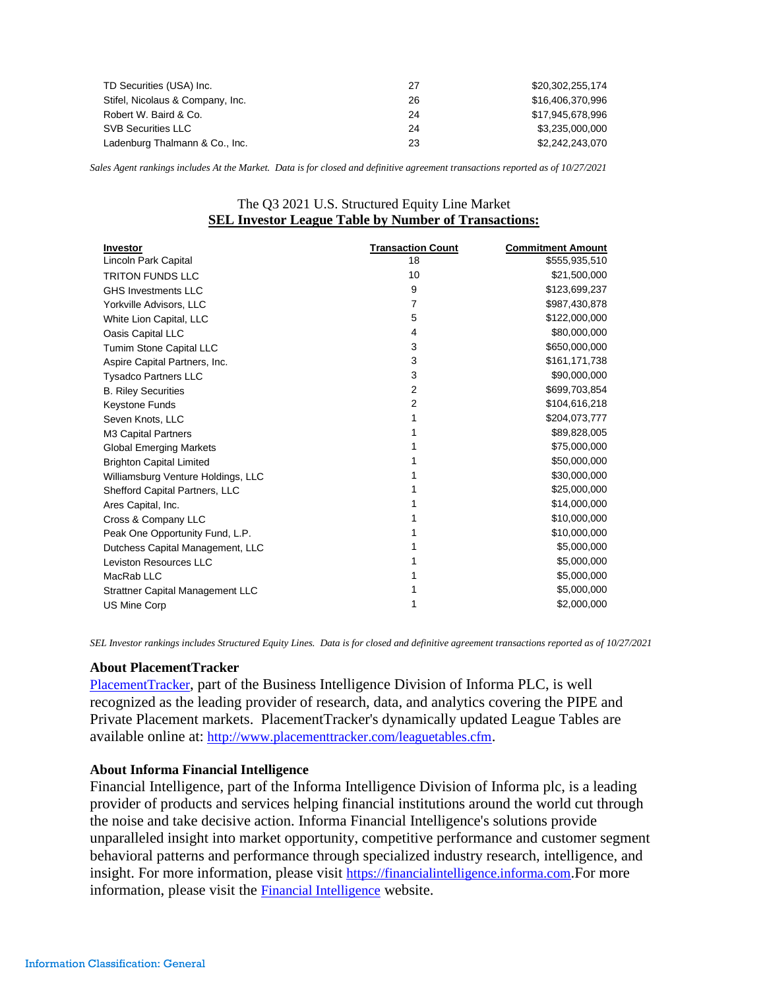| TD Securities (USA) Inc.         | 27 | \$20.302.255.174 |
|----------------------------------|----|------------------|
| Stifel, Nicolaus & Company, Inc. | 26 | \$16,406,370,996 |
| Robert W. Baird & Co.            | 24 | \$17.945.678.996 |
| <b>SVB Securities LLC</b>        | 24 | \$3.235.000.000  |
| Ladenburg Thalmann & Co., Inc.   | 23 | \$2,242,243,070  |

*Sales Agent rankings includes At the Market. Data is for closed and definitive agreement transactions reported as of 10/27/2021*

## The Q3 2021 U.S. Structured Equity Line Market **SEL Investor League Table by Number of Transactions:**

| <b>Investor</b>                         | <b>Transaction Count</b> | <b>Commitment Amount</b> |
|-----------------------------------------|--------------------------|--------------------------|
| Lincoln Park Capital                    | 18                       | \$555,935,510            |
| <b>TRITON FUNDS LLC</b>                 | 10                       | \$21,500,000             |
| <b>GHS Investments LLC</b>              | 9                        | \$123,699,237            |
| Yorkville Advisors, LLC                 | 7                        | \$987,430,878            |
| White Lion Capital, LLC                 | 5                        | \$122,000,000            |
| Oasis Capital LLC                       | 4                        | \$80,000,000             |
| <b>Tumim Stone Capital LLC</b>          | 3                        | \$650,000,000            |
| Aspire Capital Partners, Inc.           | 3                        | \$161,171,738            |
| <b>Tysadco Partners LLC</b>             | 3                        | \$90,000,000             |
| <b>B. Riley Securities</b>              | 2                        | \$699,703,854            |
| Keystone Funds                          | 2                        | \$104,616,218            |
| Seven Knots, LLC                        | 1                        | \$204,073,777            |
| M3 Capital Partners                     |                          | \$89,828,005             |
| <b>Global Emerging Markets</b>          |                          | \$75,000,000             |
| <b>Brighton Capital Limited</b>         |                          | \$50,000,000             |
| Williamsburg Venture Holdings, LLC      |                          | \$30,000,000             |
| Shefford Capital Partners, LLC          |                          | \$25,000,000             |
| Ares Capital, Inc.                      |                          | \$14,000,000             |
| Cross & Company LLC                     |                          | \$10,000,000             |
| Peak One Opportunity Fund, L.P.         |                          | \$10,000,000             |
| Dutchess Capital Management, LLC        |                          | \$5,000,000              |
| Leviston Resources LLC                  |                          | \$5,000,000              |
| MacRab LLC                              |                          | \$5,000,000              |
| <b>Strattner Capital Management LLC</b> |                          | \$5,000,000              |
| <b>US Mine Corp</b>                     |                          | \$2,000,000              |

*SEL Investor rankings includes Structured Equity Lines. Data is for closed and definitive agreement transactions reported as of 10/27/2021*

## **About PlacementTracker**

[PlacementTracker](http://www.placementtracker.com/), part of the Business Intelligence Division of Informa PLC, is well recognized as the leading provider of research, data, and analytics covering the PIPE and Private Placement markets. PlacementTracker's dynamically updated League Tables are available online at: <http://www.placementtracker.com/leaguetables.cfm>.

## **About Informa Financial Intelligence**

Financial Intelligence, part of the Informa Intelligence Division of Informa plc, is a leading provider of products and services helping financial institutions around the world cut through the noise and take decisive action. Informa Financial Intelligence's solutions provide unparalleled insight into market opportunity, competitive performance and customer segment behavioral patterns and performance through specialized industry research, intelligence, and insight. For more information, please visit [https://financialintelligence.informa.com](https://c212.net/c/link/?t=0&l=en&o=2436868-1&h=1669662222&u=https%3A%2F%2Ffinancialintelligence.informa.com%2F&a=https%3A%2F%2Ffinancialintelligence.informa.com).For more information, please visit the [Financial Intelligence](http://informa.com/divisions/business-intelligence/financial-intelligence/) website.